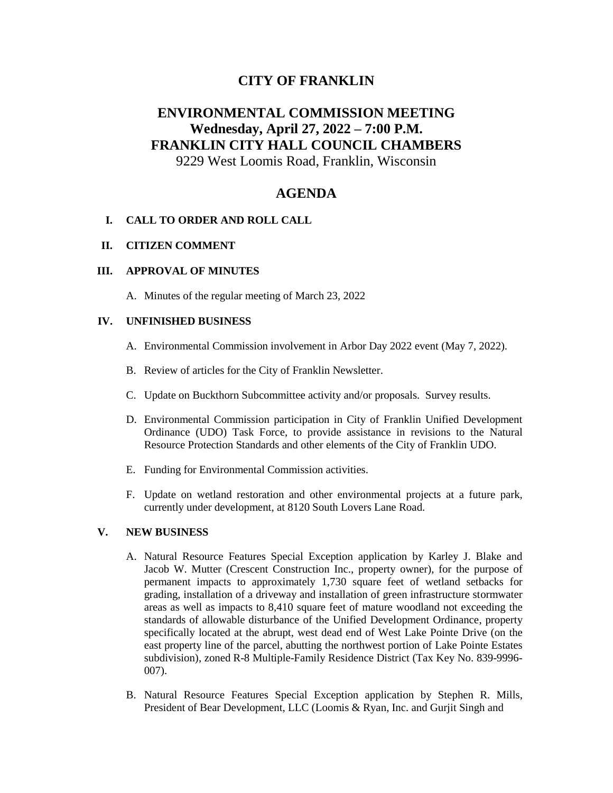## **CITY OF FRANKLIN**

# **ENVIRONMENTAL COMMISSION MEETING Wednesday, April 27, 2022 – 7:00 P.M. FRANKLIN CITY HALL COUNCIL CHAMBERS**

# 9229 West Loomis Road, Franklin, Wisconsin

### **AGENDA**

#### **I. CALL TO ORDER AND ROLL CALL**

#### **II. CITIZEN COMMENT**

#### **III. APPROVAL OF MINUTES**

A. Minutes of the regular meeting of March 23, 2022

#### **IV. UNFINISHED BUSINESS**

- A. Environmental Commission involvement in Arbor Day 2022 event (May 7, 2022).
- B. Review of articles for the City of Franklin Newsletter.
- C. Update on Buckthorn Subcommittee activity and/or proposals. Survey results.
- D. Environmental Commission participation in City of Franklin Unified Development Ordinance (UDO) Task Force, to provide assistance in revisions to the Natural Resource Protection Standards and other elements of the City of Franklin UDO.
- E. Funding for Environmental Commission activities.
- F. Update on wetland restoration and other environmental projects at a future park, currently under development, at 8120 South Lovers Lane Road.

#### **V. NEW BUSINESS**

- A. Natural Resource Features Special Exception application by Karley J. Blake and Jacob W. Mutter (Crescent Construction Inc., property owner), for the purpose of permanent impacts to approximately 1,730 square feet of wetland setbacks for grading, installation of a driveway and installation of green infrastructure stormwater areas as well as impacts to 8,410 square feet of mature woodland not exceeding the standards of allowable disturbance of the Unified Development Ordinance, property specifically located at the abrupt, west dead end of West Lake Pointe Drive (on the east property line of the parcel, abutting the northwest portion of Lake Pointe Estates subdivision), zoned R-8 Multiple-Family Residence District (Tax Key No. 839-9996- 007).
- B. Natural Resource Features Special Exception application by Stephen R. Mills, President of Bear Development, LLC (Loomis & Ryan, Inc. and Gurjit Singh and